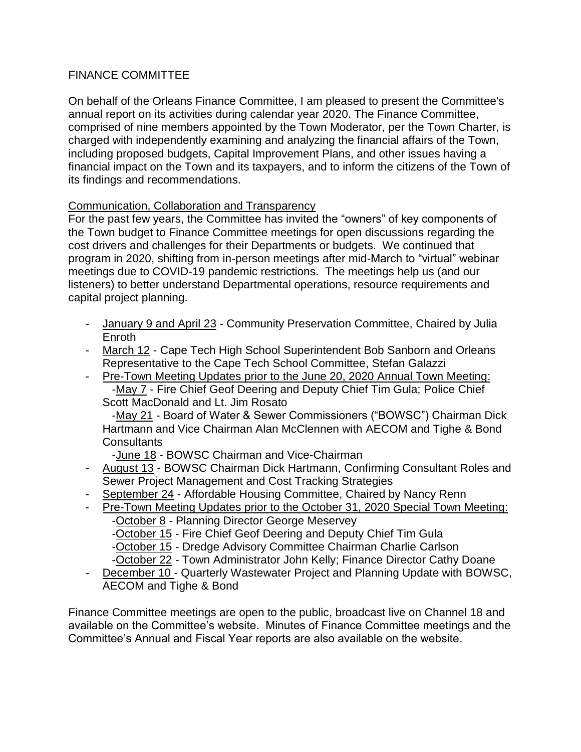## FINANCE COMMITTEE

On behalf of the Orleans Finance Committee, I am pleased to present the Committee's annual report on its activities during calendar year 2020. The Finance Committee, comprised of nine members appointed by the Town Moderator, per the Town Charter, is charged with independently examining and analyzing the financial affairs of the Town, including proposed budgets, Capital Improvement Plans, and other issues having a financial impact on the Town and its taxpayers, and to inform the citizens of the Town of its findings and recommendations.

## Communication, Collaboration and Transparency

For the past few years, the Committee has invited the "owners" of key components of the Town budget to Finance Committee meetings for open discussions regarding the cost drivers and challenges for their Departments or budgets. We continued that program in 2020, shifting from in-person meetings after mid-March to "virtual" webinar meetings due to COVID-19 pandemic restrictions. The meetings help us (and our listeners) to better understand Departmental operations, resource requirements and capital project planning.

- January 9 and April 23 Community Preservation Committee, Chaired by Julia Enroth
- March 12 Cape Tech High School Superintendent Bob Sanborn and Orleans Representative to the Cape Tech School Committee, Stefan Galazzi
- Pre-Town Meeting Updates prior to the June 20, 2020 Annual Town Meeting: -May 7 - Fire Chief Geof Deering and Deputy Chief Tim Gula; Police Chief Scott MacDonald and Lt. Jim Rosato

 -May 21 - Board of Water & Sewer Commissioners ("BOWSC") Chairman Dick Hartmann and Vice Chairman Alan McClennen with AECOM and Tighe & Bond **Consultants** 

-June 18 - BOWSC Chairman and Vice-Chairman

- August 13 BOWSC Chairman Dick Hartmann, Confirming Consultant Roles and Sewer Project Management and Cost Tracking Strategies
- September 24 Affordable Housing Committee, Chaired by Nancy Renn
- Pre-Town Meeting Updates prior to the October 31, 2020 Special Town Meeting:

-October 8 - Planning Director George Meservey

-October 15 - Fire Chief Geof Deering and Deputy Chief Tim Gula

- -October 15 Dredge Advisory Committee Chairman Charlie Carlson
- -October 22 Town Administrator John Kelly; Finance Director Cathy Doane
- December 10 Quarterly Wastewater Project and Planning Update with BOWSC, AECOM and Tighe & Bond

Finance Committee meetings are open to the public, broadcast live on Channel 18 and available on the Committee's website. Minutes of Finance Committee meetings and the Committee's Annual and Fiscal Year reports are also available on the website.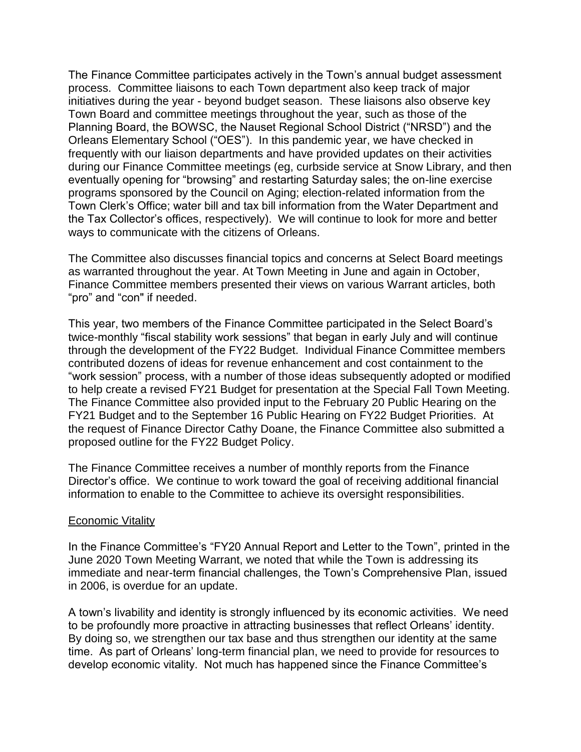The Finance Committee participates actively in the Town's annual budget assessment process. Committee liaisons to each Town department also keep track of major initiatives during the year - beyond budget season. These liaisons also observe key Town Board and committee meetings throughout the year, such as those of the Planning Board, the BOWSC, the Nauset Regional School District ("NRSD") and the Orleans Elementary School ("OES"). In this pandemic year, we have checked in frequently with our liaison departments and have provided updates on their activities during our Finance Committee meetings (eg, curbside service at Snow Library, and then eventually opening for "browsing" and restarting Saturday sales; the on-line exercise programs sponsored by the Council on Aging; election-related information from the Town Clerk's Office; water bill and tax bill information from the Water Department and the Tax Collector's offices, respectively). We will continue to look for more and better ways to communicate with the citizens of Orleans.

The Committee also discusses financial topics and concerns at Select Board meetings as warranted throughout the year. At Town Meeting in June and again in October, Finance Committee members presented their views on various Warrant articles, both "pro" and "con" if needed.

This year, two members of the Finance Committee participated in the Select Board's twice-monthly "fiscal stability work sessions" that began in early July and will continue through the development of the FY22 Budget. Individual Finance Committee members contributed dozens of ideas for revenue enhancement and cost containment to the "work session" process, with a number of those ideas subsequently adopted or modified to help create a revised FY21 Budget for presentation at the Special Fall Town Meeting. The Finance Committee also provided input to the February 20 Public Hearing on the FY21 Budget and to the September 16 Public Hearing on FY22 Budget Priorities. At the request of Finance Director Cathy Doane, the Finance Committee also submitted a proposed outline for the FY22 Budget Policy.

The Finance Committee receives a number of monthly reports from the Finance Director's office. We continue to work toward the goal of receiving additional financial information to enable to the Committee to achieve its oversight responsibilities.

## Economic Vitality

In the Finance Committee's "FY20 Annual Report and Letter to the Town", printed in the June 2020 Town Meeting Warrant, we noted that while the Town is addressing its immediate and near-term financial challenges, the Town's Comprehensive Plan, issued in 2006, is overdue for an update.

A town's livability and identity is strongly influenced by its economic activities. We need to be profoundly more proactive in attracting businesses that reflect Orleans' identity. By doing so, we strengthen our tax base and thus strengthen our identity at the same time. As part of Orleans' long-term financial plan, we need to provide for resources to develop economic vitality. Not much has happened since the Finance Committee's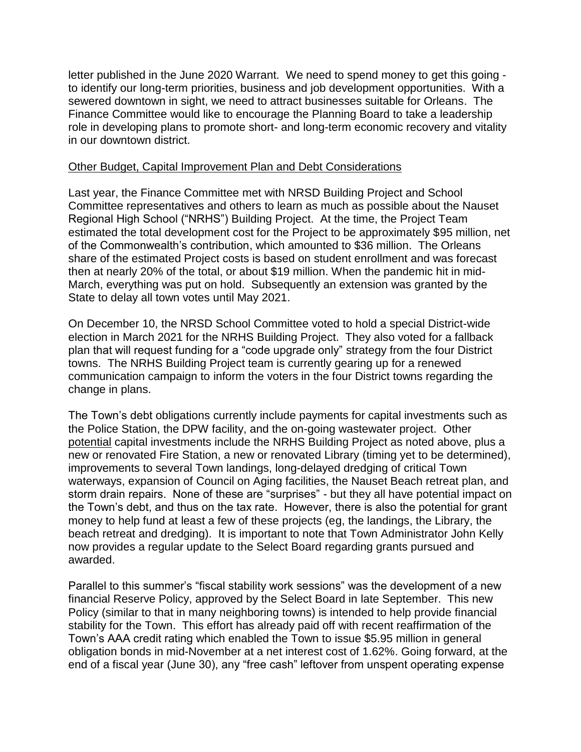letter published in the June 2020 Warrant. We need to spend money to get this going to identify our long-term priorities, business and job development opportunities. With a sewered downtown in sight, we need to attract businesses suitable for Orleans. The Finance Committee would like to encourage the Planning Board to take a leadership role in developing plans to promote short- and long-term economic recovery and vitality in our downtown district.

## Other Budget, Capital Improvement Plan and Debt Considerations

Last year, the Finance Committee met with NRSD Building Project and School Committee representatives and others to learn as much as possible about the Nauset Regional High School ("NRHS") Building Project. At the time, the Project Team estimated the total development cost for the Project to be approximately \$95 million, net of the Commonwealth's contribution, which amounted to \$36 million. The Orleans share of the estimated Project costs is based on student enrollment and was forecast then at nearly 20% of the total, or about \$19 million. When the pandemic hit in mid-March, everything was put on hold. Subsequently an extension was granted by the State to delay all town votes until May 2021.

On December 10, the NRSD School Committee voted to hold a special District-wide election in March 2021 for the NRHS Building Project. They also voted for a fallback plan that will request funding for a "code upgrade only" strategy from the four District towns. The NRHS Building Project team is currently gearing up for a renewed communication campaign to inform the voters in the four District towns regarding the change in plans.

The Town's debt obligations currently include payments for capital investments such as the Police Station, the DPW facility, and the on-going wastewater project. Other potential capital investments include the NRHS Building Project as noted above, plus a new or renovated Fire Station, a new or renovated Library (timing yet to be determined), improvements to several Town landings, long-delayed dredging of critical Town waterways, expansion of Council on Aging facilities, the Nauset Beach retreat plan, and storm drain repairs. None of these are "surprises" - but they all have potential impact on the Town's debt, and thus on the tax rate. However, there is also the potential for grant money to help fund at least a few of these projects (eg, the landings, the Library, the beach retreat and dredging). It is important to note that Town Administrator John Kelly now provides a regular update to the Select Board regarding grants pursued and awarded.

Parallel to this summer's "fiscal stability work sessions" was the development of a new financial Reserve Policy, approved by the Select Board in late September. This new Policy (similar to that in many neighboring towns) is intended to help provide financial stability for the Town. This effort has already paid off with recent reaffirmation of the Town's AAA credit rating which enabled the Town to issue \$5.95 million in general obligation bonds in mid-November at a net interest cost of 1.62%. Going forward, at the end of a fiscal year (June 30), any "free cash" leftover from unspent operating expense